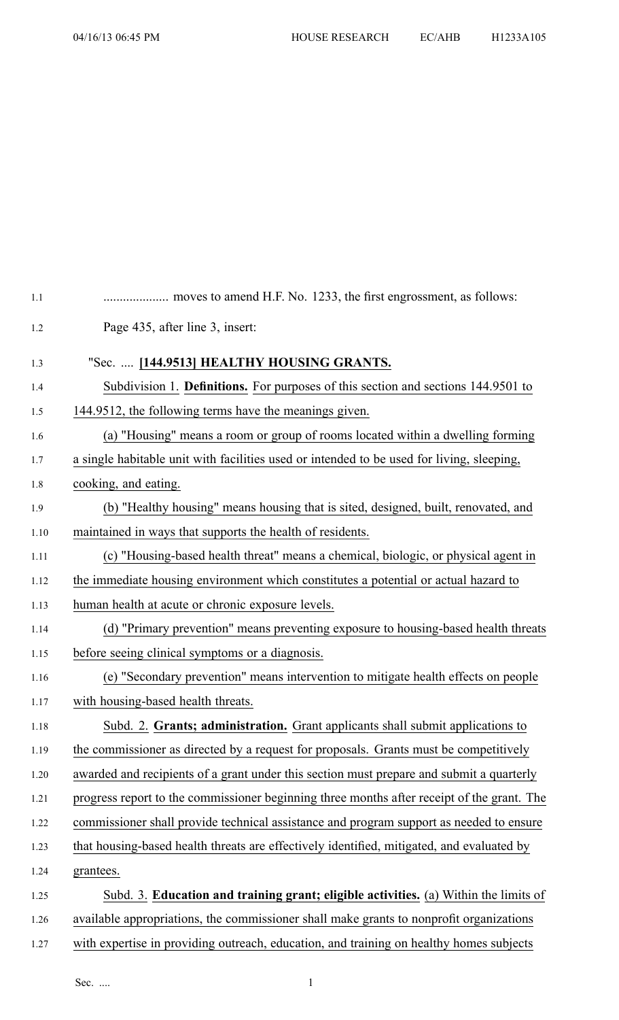| 1.1  |                                                                                            |
|------|--------------------------------------------------------------------------------------------|
| 1.2  | Page 435, after line 3, insert:                                                            |
| 1.3  | "Sec.  [144.9513] HEALTHY HOUSING GRANTS.                                                  |
| 1.4  | Subdivision 1. Definitions. For purposes of this section and sections 144.9501 to          |
| 1.5  | 144.9512, the following terms have the meanings given.                                     |
| 1.6  | (a) "Housing" means a room or group of rooms located within a dwelling forming             |
| 1.7  | a single habitable unit with facilities used or intended to be used for living, sleeping,  |
| 1.8  | cooking, and eating.                                                                       |
| 1.9  | (b) "Healthy housing" means housing that is sited, designed, built, renovated, and         |
| 1.10 | maintained in ways that supports the health of residents.                                  |
| 1.11 | (c) "Housing-based health threat" means a chemical, biologic, or physical agent in         |
| 1.12 | the immediate housing environment which constitutes a potential or actual hazard to        |
| 1.13 | human health at acute or chronic exposure levels.                                          |
| 1.14 | (d) "Primary prevention" means preventing exposure to housing-based health threats         |
| 1.15 | before seeing clinical symptoms or a diagnosis.                                            |
| 1.16 | (e) "Secondary prevention" means intervention to mitigate health effects on people         |
| 1.17 | with housing-based health threats.                                                         |
| 1.18 | Subd. 2. Grants; administration. Grant applicants shall submit applications to             |
| 1.19 | the commissioner as directed by a request for proposals. Grants must be competitively      |
| 1.20 | awarded and recipients of a grant under this section must prepare and submit a quarterly   |
| 1.21 | progress report to the commissioner beginning three months after receipt of the grant. The |
| 1.22 | commissioner shall provide technical assistance and program support as needed to ensure    |
| 1.23 | that housing-based health threats are effectively identified, mitigated, and evaluated by  |
| 1.24 | grantees.                                                                                  |
| 1.25 | Subd. 3. Education and training grant; eligible activities. (a) Within the limits of       |
| 1.26 | available appropriations, the commissioner shall make grants to nonprofit organizations    |
| 1.27 | with expertise in providing outreach, education, and training on healthy homes subjects    |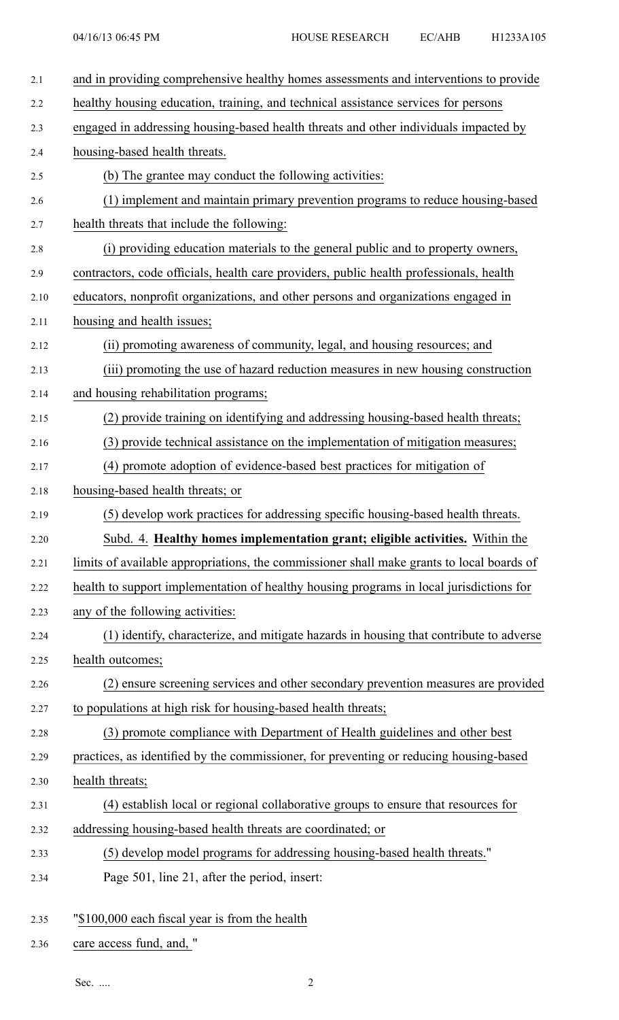| 2.1  | and in providing comprehensive healthy homes assessments and interventions to provide     |
|------|-------------------------------------------------------------------------------------------|
| 2.2  | healthy housing education, training, and technical assistance services for persons        |
| 2.3  | engaged in addressing housing-based health threats and other individuals impacted by      |
| 2.4  | housing-based health threats.                                                             |
| 2.5  | (b) The grantee may conduct the following activities:                                     |
| 2.6  | (1) implement and maintain primary prevention programs to reduce housing-based            |
| 2.7  | health threats that include the following:                                                |
| 2.8  | (i) providing education materials to the general public and to property owners,           |
| 2.9  | contractors, code officials, health care providers, public health professionals, health   |
| 2.10 | educators, nonprofit organizations, and other persons and organizations engaged in        |
| 2.11 | housing and health issues;                                                                |
| 2.12 | (ii) promoting awareness of community, legal, and housing resources; and                  |
| 2.13 | (iii) promoting the use of hazard reduction measures in new housing construction          |
| 2.14 | and housing rehabilitation programs;                                                      |
| 2.15 | (2) provide training on identifying and addressing housing-based health threats;          |
| 2.16 | (3) provide technical assistance on the implementation of mitigation measures;            |
| 2.17 | (4) promote adoption of evidence-based best practices for mitigation of                   |
| 2.18 | housing-based health threats; or                                                          |
| 2.19 | (5) develop work practices for addressing specific housing-based health threats.          |
| 2.20 | Subd. 4. Healthy homes implementation grant; eligible activities. Within the              |
| 2.21 | limits of available appropriations, the commissioner shall make grants to local boards of |
| 2.22 | health to support implementation of healthy housing programs in local jurisdictions for   |
| 2.23 | any of the following activities:                                                          |
| 2.24 | (1) identify, characterize, and mitigate hazards in housing that contribute to adverse    |
| 2.25 | health outcomes;                                                                          |
| 2.26 | (2) ensure screening services and other secondary prevention measures are provided        |
| 2.27 | to populations at high risk for housing-based health threats;                             |
| 2.28 | (3) promote compliance with Department of Health guidelines and other best                |
| 2.29 | practices, as identified by the commissioner, for preventing or reducing housing-based    |
| 2.30 | health threats;                                                                           |
| 2.31 | (4) establish local or regional collaborative groups to ensure that resources for         |
| 2.32 | addressing housing-based health threats are coordinated; or                               |
| 2.33 | (5) develop model programs for addressing housing-based health threats."                  |
| 2.34 | Page 501, line 21, after the period, insert:                                              |
| 2.35 | "\$100,000 each fiscal year is from the health                                            |

2.36 care access fund, and, "